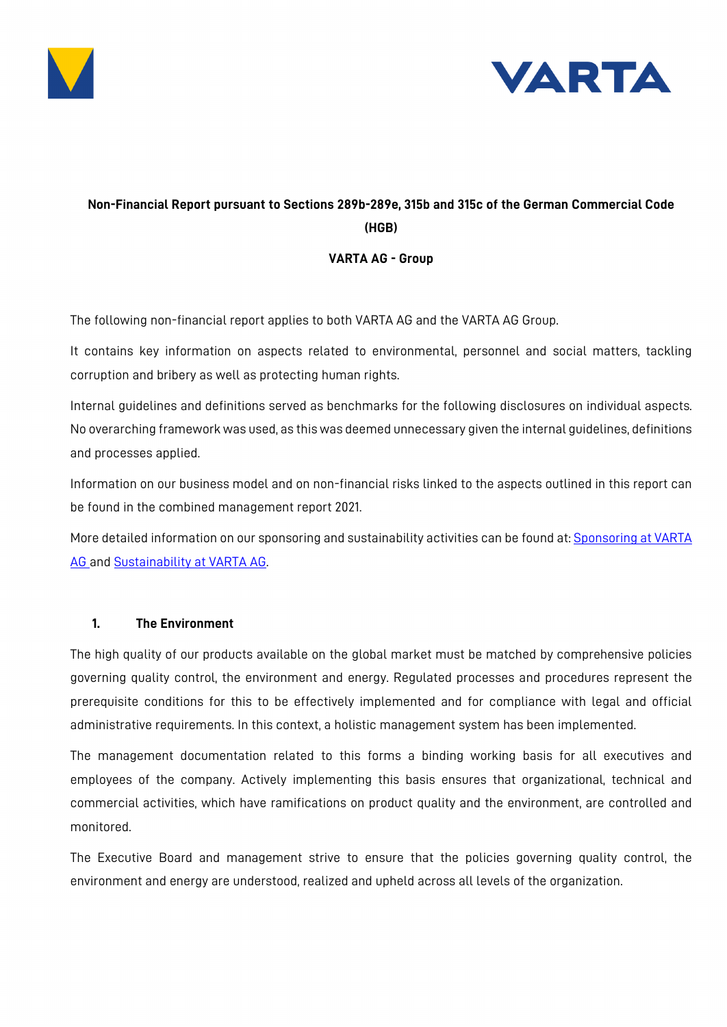



# **Non-Financial Report pursuant to Sections 289b-289e, 315b and 315c of the German Commercial Code (HGB)**

### **VARTA AG - Group**

The following non-financial report applies to both VARTA AG and the VARTA AG Group.

It contains key information on aspects related to environmental, personnel and social matters, tackling corruption and bribery as well as protecting human rights.

Internal guidelines and definitions served as benchmarks for the following disclosures on individual aspects. No overarching framework was used, as this was deemed unnecessary given the internal guidelines, definitions and processes applied.

Information on our business model and on non-financial risks linked to the aspects outlined in this report can be found in the combined management report 2021.

More detailed information on our sponsoring and sustainability activities can be found at: [Sponsoring at VARTA](file://ELLWS003/Groups$/Corporate_Legal/01%20Rechtsmgt/01%20Corp%20Gov/01%20VARTA%20AG/Jahres-%20und%20Quartalsabschl%C3%BCsse/2021/JA%20und%20KA/01%20NFB/Sponsoring%20at%20VARTA%20AG%20Group%20|%20VARTA%20AG%20(varta-ag.com))  [AG a](file://ELLWS003/Groups$/Corporate_Legal/01%20Rechtsmgt/01%20Corp%20Gov/01%20VARTA%20AG/Jahres-%20und%20Quartalsabschl%C3%BCsse/2021/JA%20und%20KA/01%20NFB/Sponsoring%20at%20VARTA%20AG%20Group%20|%20VARTA%20AG%20(varta-ag.com))nd [Sustainability at VARTA AG.](https://www.varta-ag.com/en/about-varta/sustainability)

### **1. The Environment**

The high quality of our products available on the global market must be matched by comprehensive policies governing quality control, the environment and energy. Regulated processes and procedures represent the prerequisite conditions for this to be effectively implemented and for compliance with legal and official administrative requirements. In this context, a holistic management system has been implemented.

The management documentation related to this forms a binding working basis for all executives and employees of the company. Actively implementing this basis ensures that organizational, technical and commercial activities, which have ramifications on product quality and the environment, are controlled and monitored.

The Executive Board and management strive to ensure that the policies governing quality control, the environment and energy are understood, realized and upheld across all levels of the organization.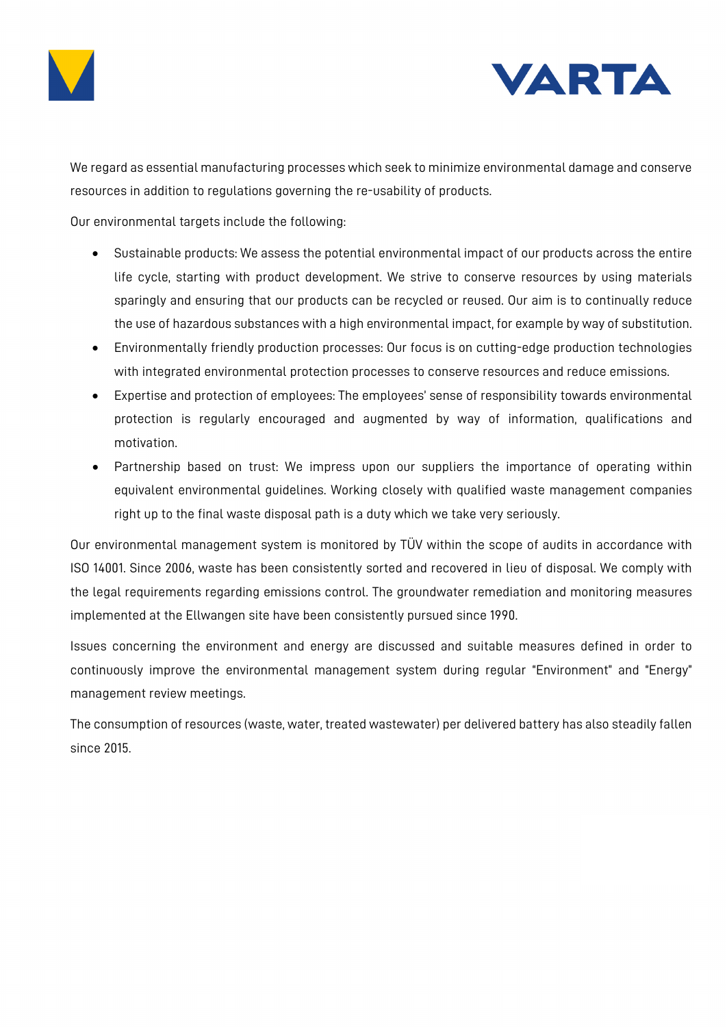



We regard as essential manufacturing processes which seek to minimize environmental damage and conserve resources in addition to regulations governing the re-usability of products.

Our environmental targets include the following:

- Sustainable products: We assess the potential environmental impact of our products across the entire life cycle, starting with product development. We strive to conserve resources by using materials sparingly and ensuring that our products can be recycled or reused. Our aim is to continually reduce the use of hazardous substances with a high environmental impact, for example by way of substitution.
- Environmentally friendly production processes: Our focus is on cutting-edge production technologies with integrated environmental protection processes to conserve resources and reduce emissions.
- Expertise and protection of employees: The employees' sense of responsibility towards environmental protection is regularly encouraged and augmented by way of information, qualifications and motivation.
- Partnership based on trust: We impress upon our suppliers the importance of operating within equivalent environmental guidelines. Working closely with qualified waste management companies right up to the final waste disposal path is a duty which we take very seriously.

Our environmental management system is monitored by TÜV within the scope of audits in accordance with ISO 14001. Since 2006, waste has been consistently sorted and recovered in lieu of disposal. We comply with the legal requirements regarding emissions control. The groundwater remediation and monitoring measures implemented at the Ellwangen site have been consistently pursued since 1990.

Issues concerning the environment and energy are discussed and suitable measures defined in order to continuously improve the environmental management system during regular "Environment" and "Energy" management review meetings.

The consumption of resources (waste, water, treated wastewater) per delivered battery has also steadily fallen since 2015.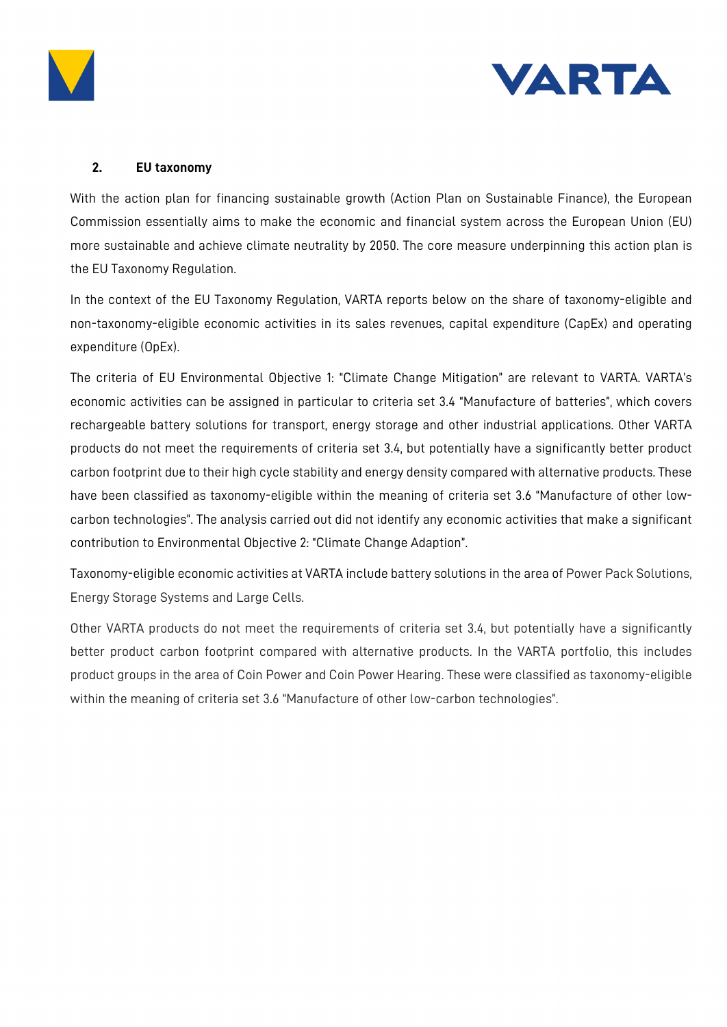



# **2. EU taxonomy**

With the action plan for financing sustainable growth (Action Plan on Sustainable Finance), the European Commission essentially aims to make the economic and financial system across the European Union (EU) more sustainable and achieve climate neutrality by 2050. The core measure underpinning this action plan is the EU Taxonomy Regulation.

In the context of the EU Taxonomy Regulation, VARTA reports below on the share of taxonomy-eligible and non-taxonomy-eligible economic activities in its sales revenues, capital expenditure (CapEx) and operating expenditure (OpEx).

The criteria of EU Environmental Objective 1: "Climate Change Mitigation" are relevant to VARTA. VARTA's economic activities can be assigned in particular to criteria set 3.4 "Manufacture of batteries", which covers rechargeable battery solutions for transport, energy storage and other industrial applications. Other VARTA products do not meet the requirements of criteria set 3.4, but potentially have a significantly better product carbon footprint due to their high cycle stability and energy density compared with alternative products. These have been classified as taxonomy-eligible within the meaning of criteria set 3.6 "Manufacture of other lowcarbon technologies". The analysis carried out did not identify any economic activities that make a significant contribution to Environmental Objective 2: "Climate Change Adaption".

Taxonomy-eligible economic activities at VARTA include battery solutions in the area of Power Pack Solutions, Energy Storage Systems and Large Cells.

Other VARTA products do not meet the requirements of criteria set 3.4, but potentially have a significantly better product carbon footprint compared with alternative products. In the VARTA portfolio, this includes product groups in the area of Coin Power and Coin Power Hearing. These were classified as taxonomy-eligible within the meaning of criteria set 3.6 "Manufacture of other low-carbon technologies".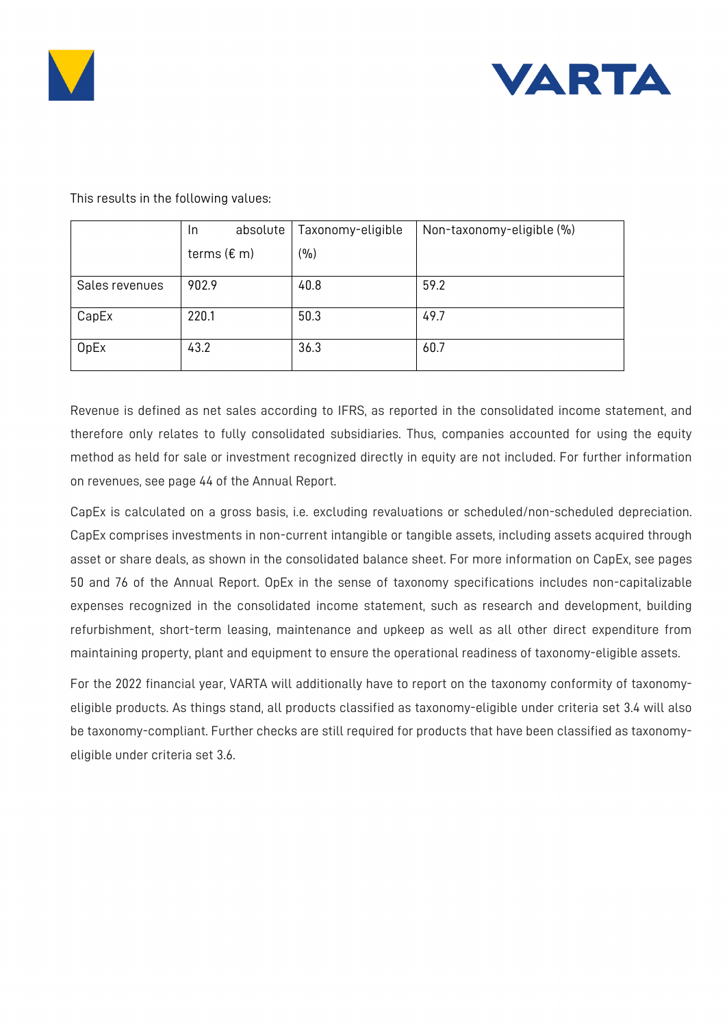



|                | absolute<br><u>In</u>    | Taxonomy-eligible | Non-taxonomy-eligible (%) |
|----------------|--------------------------|-------------------|---------------------------|
|                | terms ( $\varepsilon$ m) | (9/0)             |                           |
| Sales revenues | 902.9                    | 40.8              | 59.2                      |
| CapEx          | 220.1                    | 50.3              | 49.7                      |
| <b>OpEx</b>    | 43.2                     | 36.3              | 60.7                      |

This results in the following values:

Revenue is defined as net sales according to IFRS, as reported in the consolidated income statement, and therefore only relates to fully consolidated subsidiaries. Thus, companies accounted for using the equity method as held for sale or investment recognized directly in equity are not included. For further information on revenues, see page 44 of the Annual Report.

CapEx is calculated on a gross basis, i.e. excluding revaluations or scheduled/non-scheduled depreciation. CapEx comprises investments in non-current intangible or tangible assets, including assets acquired through asset or share deals, as shown in the consolidated balance sheet. For more information on CapEx, see pages 50 and 76 of the Annual Report. OpEx in the sense of taxonomy specifications includes non-capitalizable expenses recognized in the consolidated income statement, such as research and development, building refurbishment, short-term leasing, maintenance and upkeep as well as all other direct expenditure from maintaining property, plant and equipment to ensure the operational readiness of taxonomy-eligible assets.

For the 2022 financial year, VARTA will additionally have to report on the taxonomy conformity of taxonomyeligible products. As things stand, all products classified as taxonomy-eligible under criteria set 3.4 will also be taxonomy-compliant. Further checks are still required for products that have been classified as taxonomyeligible under criteria set 3.6.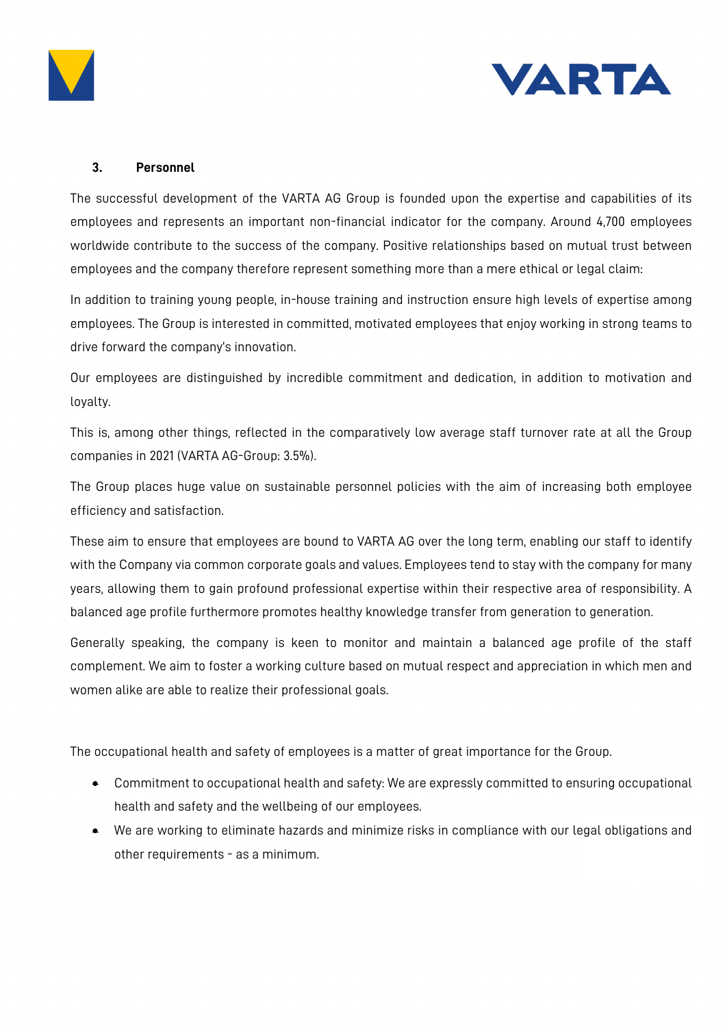



### **3. Personnel**

The successful development of the VARTA AG Group is founded upon the expertise and capabilities of its employees and represents an important non-financial indicator for the company. Around 4,700 employees worldwide contribute to the success of the company. Positive relationships based on mutual trust between employees and the company therefore represent something more than a mere ethical or legal claim:

In addition to training young people, in-house training and instruction ensure high levels of expertise among employees. The Group is interested in committed, motivated employees that enjoy working in strong teams to drive forward the company's innovation.

Our employees are distinguished by incredible commitment and dedication, in addition to motivation and loyalty.

This is, among other things, reflected in the comparatively low average staff turnover rate at all the Group companies in 2021 (VARTA AG-Group: 3.5%).

The Group places huge value on sustainable personnel policies with the aim of increasing both employee efficiency and satisfaction.

These aim to ensure that employees are bound to VARTA AG over the long term, enabling our staff to identify with the Company via common corporate goals and values. Employees tend to stay with the company for many years, allowing them to gain profound professional expertise within their respective area of responsibility. A balanced age profile furthermore promotes healthy knowledge transfer from generation to generation.

Generally speaking, the company is keen to monitor and maintain a balanced age profile of the staff complement. We aim to foster a working culture based on mutual respect and appreciation in which men and women alike are able to realize their professional goals.

The occupational health and safety of employees is a matter of great importance for the Group.

- Commitment to occupational health and safety: We are expressly committed to ensuring occupational health and safety and the wellbeing of our employees.
- We are working to eliminate hazards and minimize risks in compliance with our legal obligations and other requirements - as a minimum.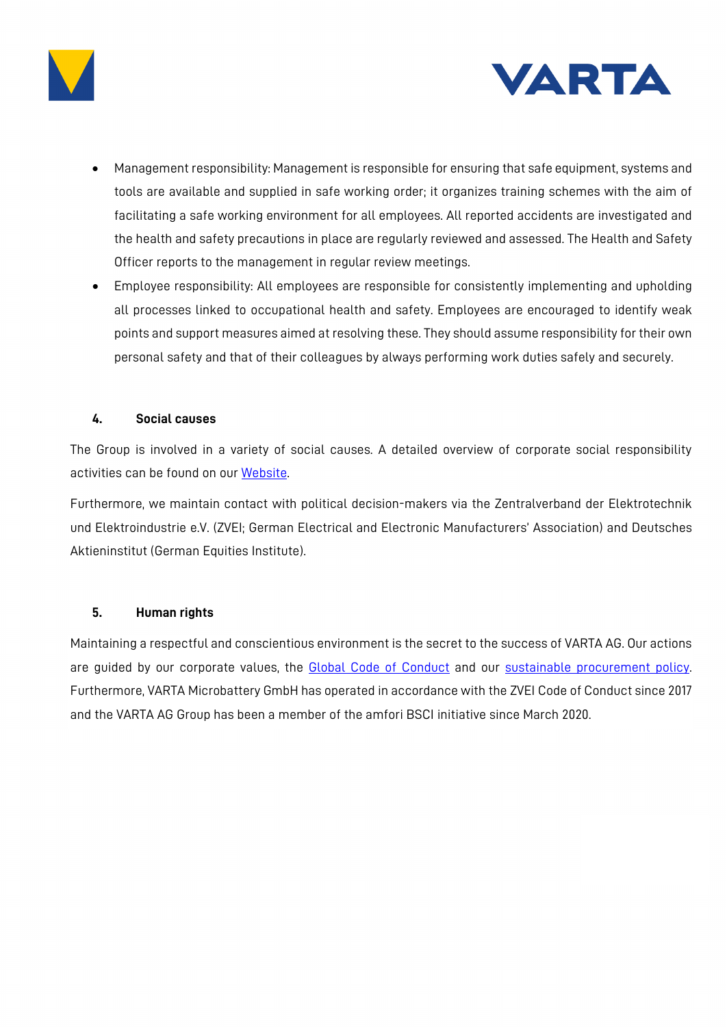



- Management responsibility: Management is responsible for ensuring that safe equipment, systems and tools are available and supplied in safe working order; it organizes training schemes with the aim of facilitating a safe working environment for all employees. All reported accidents are investigated and the health and safety precautions in place are regularly reviewed and assessed. The Health and Safety Officer reports to the management in regular review meetings.
- Employee responsibility: All employees are responsible for consistently implementing and upholding all processes linked to occupational health and safety. Employees are encouraged to identify weak points and support measures aimed at resolving these. They should assume responsibility for their own personal safety and that of their colleagues by always performing work duties safely and securely.

#### **4. Social causes**

The Group is involved in a variety of social causes. A detailed overview of corporate social responsibility activities can be found on our [Website.](https://www.varta-ag.com/de/ueber-varta/sponsoring)

Furthermore, we maintain contact with political decision-makers via the Zentralverband der Elektrotechnik und Elektroindustrie e.V. (ZVEI; German Electrical and Electronic Manufacturers' Association) and Deutsches Aktieninstitut (German Equities Institute).

### **5. Human rights**

Maintaining a respectful and conscientious environment is the secret to the success of VARTA AG. Our actions are guided by our corporate values, the [Global Code of Conduct](http://www.varta-ag.com/compliance/) and our [sustainable procurement policy.](https://www.varta-ag.com/fileadmin/varta_ag/publications/Corporate_Social_Responsibility/2021-08-17_Policy_VARTA_en.pdf) Furthermore, VARTA Microbattery GmbH has operated in accordance with the ZVEI Code of Conduct since 2017 and the VARTA AG Group has been a member of the amfori BSCI initiative since March 2020.